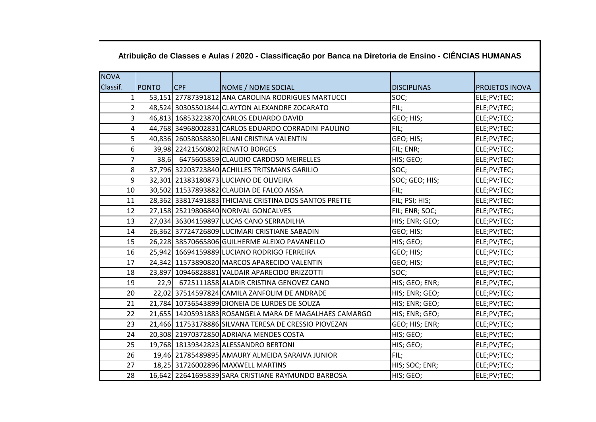| <b>NOVA</b>    |              |     |                                                        |                    |                       |
|----------------|--------------|-----|--------------------------------------------------------|--------------------|-----------------------|
| Classif.       | <b>PONTO</b> | CPF | NOME / NOME SOCIAL                                     | <b>DISCIPLINAS</b> | <b>PROJETOS INOVA</b> |
| $\mathbf{1}$   |              |     | 53,151 27787391812 ANA CAROLINA RODRIGUES MARTUCCI     | SOC;               | ELE;PV;TEC;           |
| $\overline{2}$ |              |     | 48,524 30305501844 CLAYTON ALEXANDRE ZOCARATO          | FIL;               | ELE;PV;TEC;           |
| 3              |              |     | 46,813 16853223870 CARLOS EDUARDO DAVID                | GEO; HIS;          | ELE;PV;TEC;           |
| 4              |              |     | 44,768 34968002831 CARLOS EDUARDO CORRADINI PAULINO    | FIL;               | ELE;PV;TEC;           |
| 5              |              |     | 40,836 26058058830 ELIANI CRISTINA VALENTIN            | GEO; HIS;          | ELE;PV;TEC;           |
| 6              |              |     | 39,98 22421560802 RENATO BORGES                        | FIL; ENR;          | ELE;PV;TEC;           |
|                |              |     | 38,6 6475605859 CLAUDIO CARDOSO MEIRELLES              | HIS; GEO;          | ELE;PV;TEC;           |
| 8              |              |     | 37,796 32203723840 ACHILLES TRITSMANS GARILIO          | SOC;               | ELE;PV;TEC;           |
| 9              |              |     | 32,301 21383180873 LUCIANO DE OLIVEIRA                 | SOC; GEO; HIS;     | ELE;PV;TEC;           |
| 10             |              |     | 30,502 11537893882 CLAUDIA DE FALCO AISSA              | FIL;               | ELE;PV;TEC;           |
| 11             |              |     | 28,362 33817491883 THICIANE CRISTINA DOS SANTOS PRETTE | FIL; PSI; HIS;     | ELE;PV;TEC;           |
| 12             |              |     | 27,158 25219806840 NORIVAL GONCALVES                   | FIL; ENR; SOC;     | ELE;PV;TEC;           |
| 13             |              |     | 27,034 36304159897 LUCAS CANO SERRADILHA               | HIS; ENR; GEO;     | ELE;PV;TEC;           |
| 14             |              |     | 26,362 37724726809 LUCIMARI CRISTIANE SABADIN          | GEO; HIS;          | ELE;PV;TEC;           |
| 15             |              |     | 26,228 38570665806 GUILHERME ALEIXO PAVANELLO          | HIS; GEO;          | ELE;PV;TEC;           |
| 16             |              |     | 25,942 16694159889 LUCIANO RODRIGO FERREIRA            | GEO; HIS;          | ELE;PV;TEC;           |
| 17             |              |     | 24,342 11573890820 MARCOS APARECIDO VALENTIN           | GEO; HIS;          | ELE;PV;TEC;           |
| 18             |              |     | 23,897 10946828881 VALDAIR APARECIDO BRIZZOTTI         | SOC;               | ELE;PV;TEC;           |
| 19             |              |     | 22,9 6725111858 ALADIR CRISTINA GENOVEZ CANO           | HIS; GEO; ENR;     | ELE;PV;TEC;           |
| 20             |              |     | 22,02 37514597824 CAMILA ZANFOLIM DE ANDRADE           | HIS; ENR; GEO;     | ELE;PV;TEC;           |
| 21             |              |     | 21,784 10736543899 DIONEIA DE LURDES DE SOUZA          | HIS; ENR; GEO;     | ELE;PV;TEC;           |
| 22             |              |     | 21,655 14205931883 ROSANGELA MARA DE MAGALHAES CAMARGO | HIS; ENR; GEO;     | ELE;PV;TEC;           |
| 23             |              |     | 21,466 11753178886 SILVANA TERESA DE CRESSIO PIOVEZAN  | GEO; HIS; ENR;     | ELE;PV;TEC;           |
| 24             |              |     | 20,308 21970372850 ADRIANA MENDES COSTA                | HIS; GEO;          | ELE;PV;TEC;           |
| 25             |              |     | 19,768 18139342823 ALESSANDRO BERTONI                  | HIS; GEO;          | ELE;PV;TEC;           |
| 26             |              |     | 19,46 21785489895 AMAURY ALMEIDA SARAIVA JUNIOR        | FIL;               | ELE;PV;TEC;           |
| 27             |              |     | 18,25 31726002896 MAXWELL MARTINS                      | HIS; SOC; ENR;     | ELE;PV;TEC;           |
| 28             |              |     | 16,642 22641695839 SARA CRISTIANE RAYMUNDO BARBOSA     | HIS; GEO;          | ELE;PV;TEC;           |

## **Atribuição de Classes e Aulas / 2020 - Classificação por Banca na Diretoria de Ensino - CIÊNCIAS HUMANAS**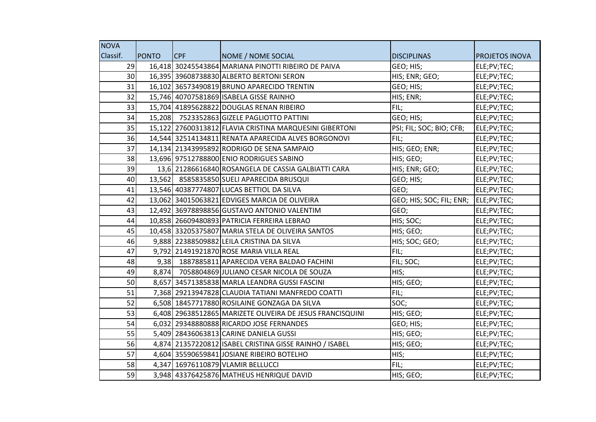| <b>NOVA</b> |              |     |                                                           |                                      |                       |
|-------------|--------------|-----|-----------------------------------------------------------|--------------------------------------|-----------------------|
| Classif.    | <b>PONTO</b> | CPF | NOME / NOME SOCIAL                                        | <b>DISCIPLINAS</b>                   | <b>PROJETOS INOVA</b> |
| 29          |              |     | 16,418 30245543864 MARIANA PINOTTI RIBEIRO DE PAIVA       | GEO; HIS;                            | ELE;PV;TEC;           |
| 30          |              |     | 16,395 39608738830 ALBERTO BERTONI SERON                  | HIS; ENR; GEO;                       | ELE;PV;TEC;           |
| 31          |              |     | 16,102 36573490819 BRUNO APARECIDO TRENTIN                | GEO; HIS;                            | ELE;PV;TEC;           |
| 32          |              |     | 15,746 40707581869 ISABELA GISSE RAINHO                   | HIS; ENR;                            | ELE;PV;TEC;           |
| 33          |              |     | 15,704 41895628822 DOUGLAS RENAN RIBEIRO                  | FIL;                                 | ELE;PV;TEC;           |
| 34          |              |     | 15,208 7523352863 GIZELE PAGLIOTTO PATTINI                | GEO; HIS;                            | ELE;PV;TEC;           |
| 35          |              |     | 15,122 27600313812 FLAVIA CRISTINA MARQUESINI GIBERTONI   | PSI; FIL; SOC; BIO; CFB;             | ELE;PV;TEC;           |
| 36          |              |     | 14,544 32514134811 RENATA APARECIDA ALVES BORGONOVI       | FIL;                                 | ELE;PV;TEC;           |
| 37          |              |     | 14,134 21343995892 RODRIGO DE SENA SAMPAIO                | HIS; GEO; ENR;                       | ELE;PV;TEC;           |
| 38          |              |     | 13,696 97512788800 ENIO RODRIGUES SABINO                  | HIS; GEO;                            | ELE;PV;TEC;           |
| 39          |              |     | 13,6 21286616840 ROSANGELA DE CASSIA GALBIATTI CARA       | HIS; ENR; GEO;                       | ELE;PV;TEC;           |
| 40          |              |     | 13,562 8585835850 SUELI APARECIDA BRUSQUI                 | GEO; HIS;                            | ELE;PV;TEC;           |
| 41          |              |     | 13,546 40387774807 LUCAS BETTIOL DA SILVA                 | GEO;                                 | ELE;PV;TEC;           |
| 42          |              |     | 13,062 34015063821 EDVIGES MARCIA DE OLIVEIRA             | GEO; HIS; SOC; FIL; ENR; ELE;PV;TEC; |                       |
| 43          |              |     | 12,492 36978898856 GUSTAVO ANTONIO VALENTIM               | GEO;                                 | ELE;PV;TEC;           |
| 44          |              |     | 10,858 26609480893 PATRICIA FERREIRA LEBRAO               | HIS; SOC;                            | ELE;PV;TEC;           |
| 45          |              |     | 10,458 33205375807 MARIA STELA DE OLIVEIRA SANTOS         | HIS; GEO;                            | ELE;PV;TEC;           |
| 46          |              |     | 9,888 22388509882 LEILA CRISTINA DA SILVA                 | HIS; SOC; GEO;                       | ELE;PV;TEC;           |
| 47          |              |     | 9,792 21491921870 ROSE MARIA VILLA REAL                   | FIL;                                 | ELE;PV;TEC;           |
| 48          |              |     | 9,38 1887885811 APARECIDA VERA BALDAO FACHINI             | FIL; SOC;                            | ELE;PV;TEC;           |
| 49          |              |     | 8,874 7058804869 JULIANO CESAR NICOLA DE SOUZA            | HIS;                                 | ELE;PV;TEC;           |
| 50          |              |     | 8,657 34571385838 MARLA LEANDRA GUSSI FASCINI             | HIS; GEO;                            | ELE;PV;TEC;           |
| 51          |              |     | 7,368 29213947828 CLAUDIA TATIANI MANFREDO COATTI         | FIL;                                 | ELE;PV;TEC;           |
| 52          |              |     | 6,508 18457717880 ROSILAINE GONZAGA DA SILVA              | SOC;                                 | ELE;PV;TEC;           |
| 53          |              |     | 6,408 29638512865 MARIZETE OLIVEIRA DE JESUS FRANCISQUINI | HIS; GEO;                            | ELE;PV;TEC;           |
| 54          |              |     | 6,032 29348880888 RICARDO JOSE FERNANDES                  | GEO; HIS;                            | ELE;PV;TEC;           |
| 55          |              |     | 5,409 28436063813 CARINE DANIELA GUSSI                    | HIS; GEO;                            | ELE;PV;TEC;           |
| 56          |              |     | 4,874 21357220812 ISABEL CRISTINA GISSE RAINHO / ISABEL   | HIS; GEO;                            | ELE;PV;TEC;           |
| 57          |              |     | 4,604 35590659841 JOSIANE RIBEIRO BOTELHO                 | HIS;                                 | ELE;PV;TEC;           |
| 58          |              |     | 4,347 16976110879 VLAMIR BELLUCCI                         | FIL;                                 | ELE;PV;TEC;           |
| 59          |              |     | 3,948 43376425876 MATHEUS HENRIQUE DAVID                  | HIS; GEO;                            | ELE;PV;TEC;           |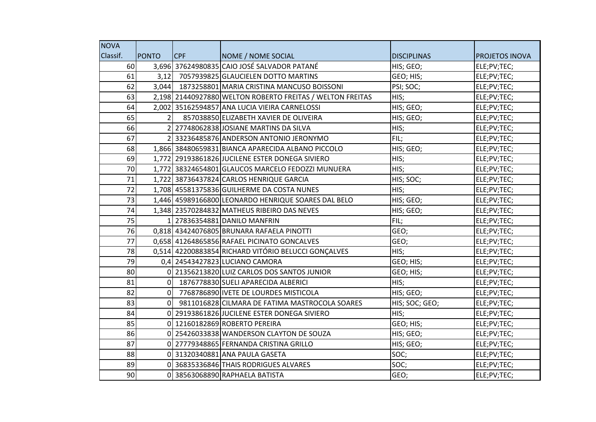| <b>NOVA</b> |          |            |                                                           |                    |                       |
|-------------|----------|------------|-----------------------------------------------------------|--------------------|-----------------------|
| Classif.    | PONTO    | <b>CPF</b> | NOME / NOME SOCIAL                                        | <b>DISCIPLINAS</b> | <b>PROJETOS INOVA</b> |
| 60          |          |            | 3,696 37624980835 CAIO JOSÉ SALVADOR PATANÉ               | HIS; GEO;          | ELE;PV;TEC;           |
| 61          | 3,12     |            | 7057939825 GLAUCIELEN DOTTO MARTINS                       | GEO; HIS;          | ELE;PV;TEC;           |
| 62          | 3,044    |            | 1873258801 MARIA CRISTINA MANCUSO BOISSONI                | PSI; SOC;          | ELE;PV;TEC;           |
| 63          |          |            | 2,198 21440927880 WELTON ROBERTO FREITAS / WELTON FREITAS | HIS;               | ELE;PV;TEC;           |
| 64          |          |            | 2,002 35162594857 ANA LUCIA VIEIRA CARNELOSSI             | HIS; GEO;          | ELE;PV;TEC;           |
| 65          |          |            | 857038850 ELIZABETH XAVIER DE OLIVEIRA                    | HIS; GEO;          | ELE;PV;TEC;           |
| 66          |          |            | 27748062838 JOSIANE MARTINS DA SILVA                      | HIS;               | ELE;PV;TEC;           |
| 67          |          |            | 33236485876 ANDERSON ANTONIO JERONYMO                     | FIL;               | ELE;PV;TEC;           |
| 68          |          |            | 1,866 38480659831 BIANCA APARECIDA ALBANO PICCOLO         | HIS; GEO;          | ELE;PV;TEC;           |
| 69          |          |            | 1,772 29193861826 JUCILENE ESTER DONEGA SIVIERO           | HIS;               | ELE;PV;TEC;           |
| 70          |          |            | 1,772 38324654801 GLAUCOS MARCELO FEDOZZI MUNUERA         | HIS;               | ELE;PV;TEC;           |
| 71          |          |            | 1,722 38736437824 CARLOS HENRIQUE GARCIA                  | HIS; SOC;          | ELE;PV;TEC;           |
| 72          |          |            | 1,708 45581375836 GUILHERME DA COSTA NUNES                | HIS;               | ELE;PV;TEC;           |
| 73          |          |            | 1,446 45989166800 LEONARDO HENRIQUE SOARES DAL BELO       | HIS; GEO;          | ELE;PV;TEC;           |
| 74          |          |            | 1,348 23570284832 MATHEUS RIBEIRO DAS NEVES               | HIS; GEO;          | ELE;PV;TEC;           |
| 75          |          |            | 1 27836354881 DANILO MANFRIN                              | FIL;               | ELE;PV;TEC;           |
| 76          |          |            | 0.818 43424076805 BRUNARA RAFAELA PINOTTI                 | GEO;               | ELE;PV;TEC;           |
| 77          |          |            | 0,658 41264865856 RAFAEL PICINATO GONCALVES               | GEO;               | ELE;PV;TEC;           |
| 78          |          |            | 0,514 42200883854 RICHARD VITÓRIO BELUCCI GONÇALVES       | HIS;               | ELE;PV;TEC;           |
| 79          |          |            | 0,4 24543427823 LUCIANO CAMORA                            | GEO; HIS;          | ELE;PV;TEC;           |
| 80          |          |            | 0 21356213820 LUIZ CARLOS DOS SANTOS JUNIOR               | GEO; HIS;          | ELE;PV;TEC;           |
| 81          | $\Omega$ |            | 1876778830 SUELI APARECIDA ALBERICI                       | HIS;               | ELE;PV;TEC;           |
| 82          | $\Omega$ |            | 7768786890 IVETE DE LOURDES MISTICOLA                     | HIS; GEO;          | ELE;PV;TEC;           |
| 83          | $\Omega$ |            | 9811016828 CILMARA DE FATIMA MASTROCOLA SOARES            | HIS; SOC; GEO;     | ELE;PV;TEC;           |
| 84          |          |            | 29193861826 JUCILENE ESTER DONEGA SIVIERO                 | HIS;               | ELE;PV;TEC;           |
| 85          | $\Omega$ |            | 12160182869 ROBERTO PEREIRA                               | GEO; HIS;          | ELE;PV;TEC;           |
| 86          |          |            | 0 25426033838 WANDERSON CLAYTON DE SOUZA                  | HIS; GEO;          | ELE;PV;TEC;           |
| 87          |          |            | 0 27779348865 FERNANDA CRISTINA GRILLO                    | HIS; GEO;          | ELE;PV;TEC;           |
| 88          |          |            | 0 31320340881 ANA PAULA GASETA                            | SOC;               | ELE;PV;TEC;           |
| 89          |          |            | 0 36835336846 THAIS RODRIGUES ALVARES                     | SOC;               | ELE;PV;TEC;           |
| 90          | 0        |            | 38563068890 RAPHAELA BATISTA                              | GEO;               | ELE;PV;TEC;           |